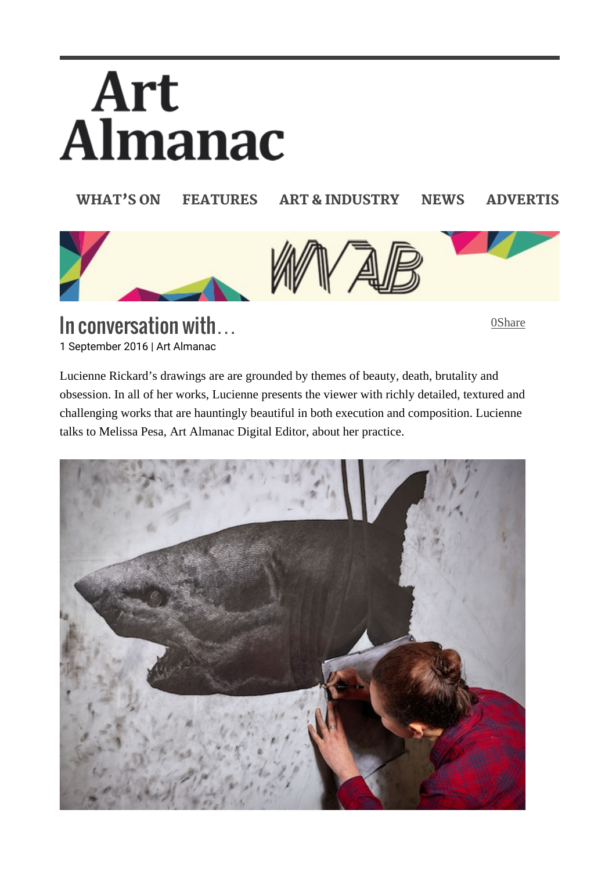# Art<br>Almanac

WHAT'S ON FEATURES ART & INDUSTRY NEWS ADVERTIS



In conversation with… 1 September 2016 | Art Almanac

0Share

Lucienne Rickard's drawings are are grounded by themes of beauty, death, brutality and obsession. In all of her works, Lucienne presents the viewer with richly detailed, textured and challenging works that are hauntingly beautiful in both execution and composition. Lucienne talks to Melissa Pesa, Art Almanac Digital Editor, about her practice.

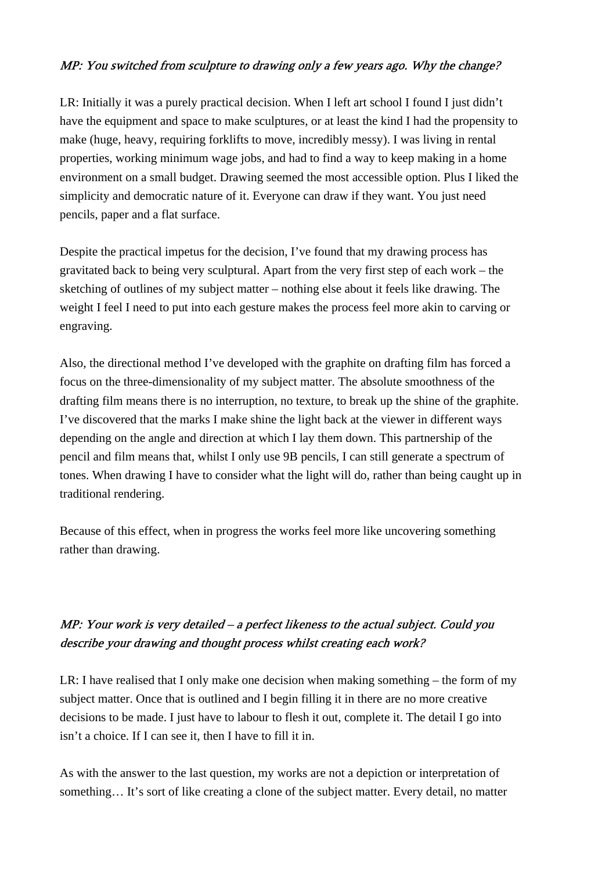## MP: You switched from sculpture to drawing only a few years ago. Why the change?

LR: Initially it was a purely practical decision. When I left art school I found I just didn't have the equipment and space to make sculptures, or at least the kind I had the propensity to make (huge, heavy, requiring forklifts to move, incredibly messy). I was living in rental properties, working minimum wage jobs, and had to find a way to keep making in a home environment on a small budget. Drawing seemed the most accessible option. Plus I liked the simplicity and democratic nature of it. Everyone can draw if they want. You just need pencils, paper and a flat surface.

Despite the practical impetus for the decision, I've found that my drawing process has gravitated back to being very sculptural. Apart from the very first step of each work – the sketching of outlines of my subject matter – nothing else about it feels like drawing. The weight I feel I need to put into each gesture makes the process feel more akin to carving or engraving.

Also, the directional method I've developed with the graphite on drafting film has forced a focus on the three-dimensionality of my subject matter. The absolute smoothness of the drafting film means there is no interruption, no texture, to break up the shine of the graphite. I've discovered that the marks I make shine the light back at the viewer in different ways depending on the angle and direction at which I lay them down. This partnership of the pencil and film means that, whilst I only use 9B pencils, I can still generate a spectrum of tones. When drawing I have to consider what the light will do, rather than being caught up in traditional rendering.

Because of this effect, when in progress the works feel more like uncovering something rather than drawing.

# MP: Your work is very detailed – a perfect likeness to the actual subject. Could you describe your drawing and thought process whilst creating each work?

LR: I have realised that I only make one decision when making something – the form of my subject matter. Once that is outlined and I begin filling it in there are no more creative decisions to be made. I just have to labour to flesh it out, complete it. The detail I go into isn't a choice. If I can see it, then I have to fill it in.

As with the answer to the last question, my works are not a depiction or interpretation of something... It's sort of like creating a clone of the subject matter. Every detail, no matter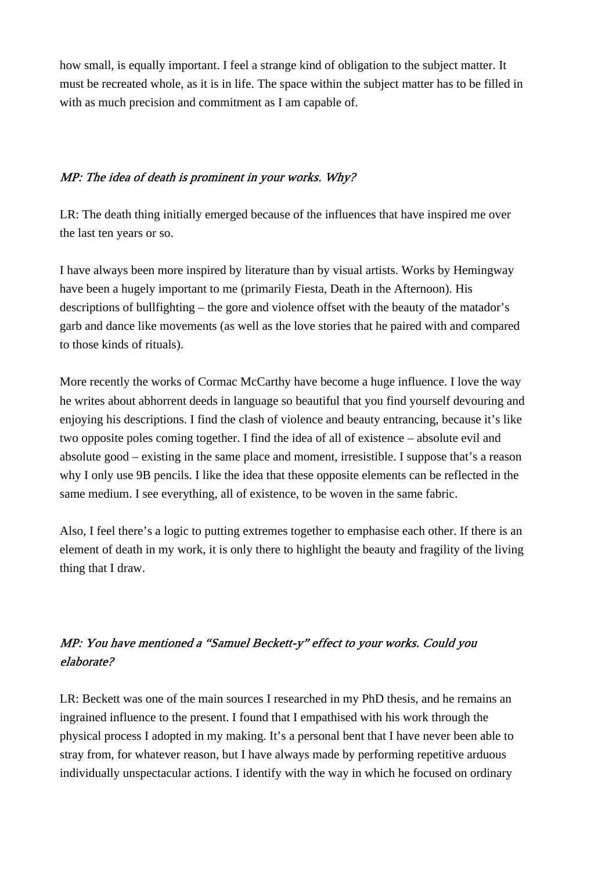how small, is equally important. I feel a strange kind of obligation to the subject matter. It must be recreated whole, as it is in life. The space within the subject matter has to be filled in with as much precision and commitment as I am capable of.

### MP: The idea of death is prominent in your works. Why?

LR: The death thing initially emerged because of the influences that have inspired me over the last ten years or so.

I have always been more inspired by literature than by visual artists. Works by Hemingway have been a hugely important to me (primarily Fiesta, Death in the Afternoon). His descriptions of bullfighting – the gore and violence offset with the beauty of the matador's garb and dance like movements (as well as the love stories that he paired with and compared to those kinds of rituals).

More recently the works of Cormac McCarthy have become a huge influence. I love the way he writes about abhorrent deeds in language so beautiful that you find yourself devouring and enjoying his descriptions. I find the clash of violence and beauty entrancing, because it's like two opposite poles coming together. I find the idea of all of existence – absolute evil and absolute good – existing in the same place and moment, irresistible. I suppose that's a reason why I only use 9B pencils. I like the idea that these opposite elements can be reflected in the same medium. I see everything, all of existence, to be woven in the same fabric.

Also, I feel there's a logic to putting extremes together to emphasise each other. If there is an element of death in my work, it is only there to highlight the beauty and fragility of the living thing that I draw.

# MP: You have mentioned a "Samuel Beckett-y" effect to your works. Could you elaborate?

LR: Beckett was one of the main sources I researched in my PhD thesis, and he remains an ingrained influence to the present. I found that I empathised with his work through the physical process I adopted in my making. It's a personal bent that I have never been able to stray from, for whatever reason, but I have always made by performing repetitive arduous individually unspectacular actions. I identify with the way in which he focused on ordinary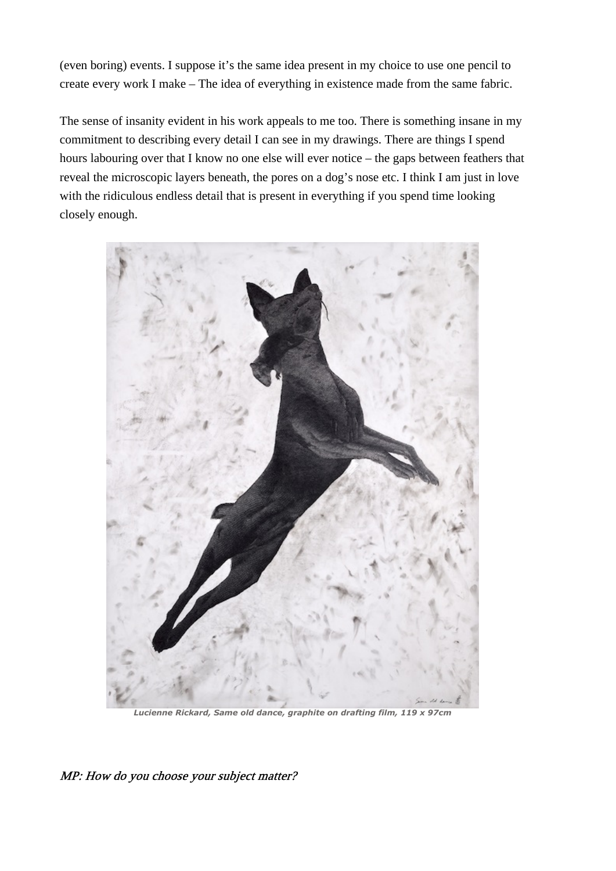(even boring) events. I suppose it's the same idea present in my choice to use one pencil to create every work I make – The idea of everything in existence made from the same fabric.

The sense of insanity evident in his work appeals to me too. There is something insane in my commitment to describing every detail I can see in my drawings. There are things I spend hours labouring over that I know no one else will ever notice – the gaps between feathers that reveal the microscopic layers beneath, the pores on a dog's nose etc. I think I am just in love with the ridiculous endless detail that is present in everything if you spend time looking closely enough.



Lucienne Rickard, Same old dance, graphite on drafting film, 119 x 97cm

MP: How do you choose your subject matter?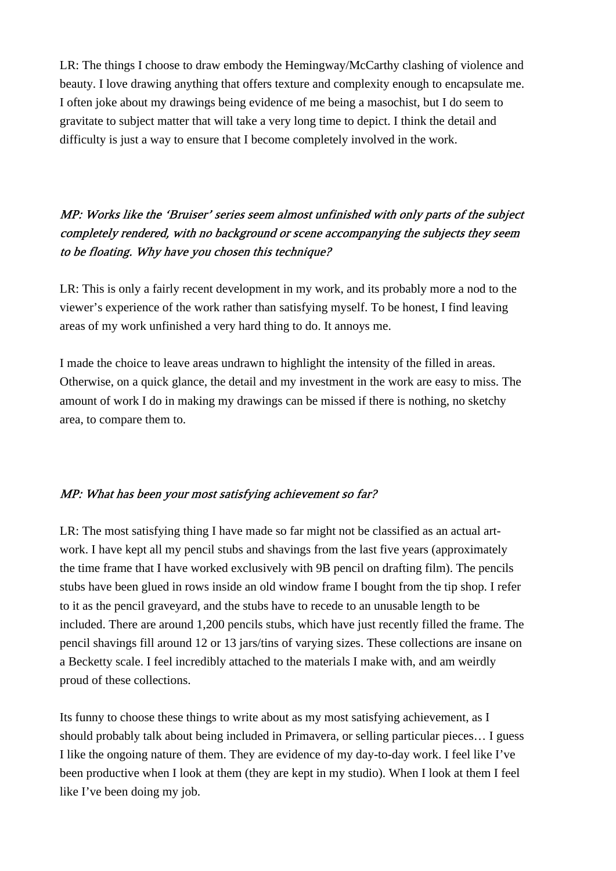LR: The things I choose to draw embody the Hemingway/McCarthy clashing of violence and beauty. I love drawing anything that offers texture and complexity enough to encapsulate me. I often joke about my drawings being evidence of me being a masochist, but I do seem to gravitate to subject matter that will take a very long time to depict. I think the detail and difficulty is just a way to ensure that I become completely involved in the work.

# MP: Works like the 'Bruiser' series seem almost unfinished with only parts of the subject completely rendered, with no background or scene accompanying the subjects they seem to be floating. Why have you chosen this technique?

LR: This is only a fairly recent development in my work, and its probably more a nod to the viewer's experience of the work rather than satisfying myself. To be honest, I find leaving areas of my work unfinished a very hard thing to do. It annoys me.

I made the choice to leave areas undrawn to highlight the intensity of the filled in areas. Otherwise, on a quick glance, the detail and my investment in the work are easy to miss. The amount of work I do in making my drawings can be missed if there is nothing, no sketchy area, to compare them to.

### MP: What has been your most satisfying achievement so far?

LR: The most satisfying thing I have made so far might not be classified as an actual artwork. I have kept all my pencil stubs and shavings from the last five years (approximately the time frame that I have worked exclusively with 9B pencil on drafting film). The pencils stubs have been glued in rows inside an old window frame I bought from the tip shop. I refer to it as the pencil graveyard, and the stubs have to recede to an unusable length to be included. There are around 1,200 pencils stubs, which have just recently filled the frame. The pencil shavings fill around 12 or 13 jars/tins of varying sizes. These collections are insane on a Becketty scale. I feel incredibly attached to the materials I make with, and am weirdly proud of these collections.

Its funny to choose these things to write about as my most satisfying achievement, as I should probably talk about being included in Primavera, or selling particular pieces… I guess I like the ongoing nature of them. They are evidence of my day-to-day work. I feel like I've been productive when I look at them (they are kept in my studio). When I look at them I feel like I've been doing my job.